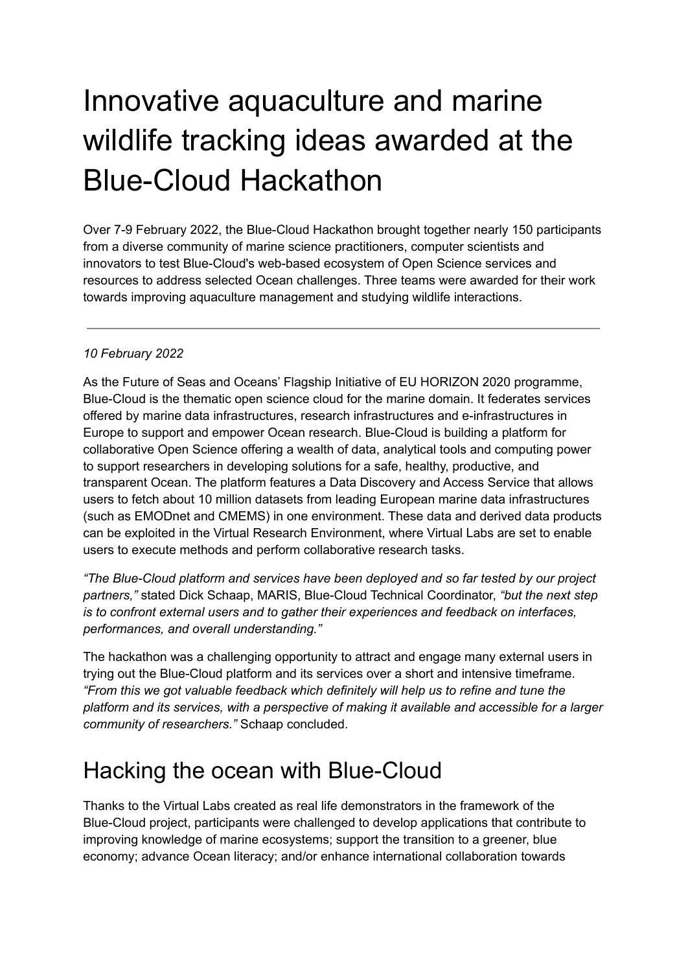## Innovative aquaculture and marine wildlife tracking ideas awarded at the Blue-Cloud Hackathon

Over 7-9 February 2022, the Blue-Cloud Hackathon brought together nearly 150 participants from a diverse community of marine science practitioners, computer scientists and innovators to test Blue-Cloud's web-based ecosystem of Open Science services and resources to address selected Ocean challenges. Three teams were awarded for their work towards improving aquaculture management and studying wildlife interactions.

## *10 February 2022*

As the Future of Seas and Oceans' Flagship Initiative of EU HORIZON 2020 programme, Blue-Cloud is the thematic open science cloud for the marine domain. It federates services offered by marine data infrastructures, research infrastructures and e-infrastructures in Europe to support and empower Ocean research. Blue-Cloud is building a platform for collaborative Open Science offering a wealth of data, analytical tools and computing power to support researchers in developing solutions for a safe, healthy, productive, and transparent Ocean. The platform features a Data Discovery and Access Service that allows users to fetch about 10 million datasets from leading European marine data infrastructures (such as EMODnet and CMEMS) in one environment. These data and derived data products can be exploited in the Virtual Research Environment, where Virtual Labs are set to enable users to execute methods and perform collaborative research tasks.

*"The Blue-Cloud platform and services have been deployed and so far tested by our project partners,"* stated Dick Schaap, MARIS, Blue-Cloud Technical Coordinator, *"but the next step is to confront external users and to gather their experiences and feedback on interfaces, performances, and overall understanding."*

The hackathon was a challenging opportunity to attract and engage many external users in trying out the Blue-Cloud platform and its services over a short and intensive timeframe. *"From this we got valuable feedback which definitely will help us to refine and tune the platform and its services, with a perspective of making it available and accessible for a larger community of researchers."* Schaap concluded.

## Hacking the ocean with Blue-Cloud

Thanks to the Virtual Labs created as real life demonstrators in the framework of the Blue-Cloud project, participants were challenged to develop applications that contribute to improving knowledge of marine ecosystems; support the transition to a greener, blue economy; advance Ocean literacy; and/or enhance international collaboration towards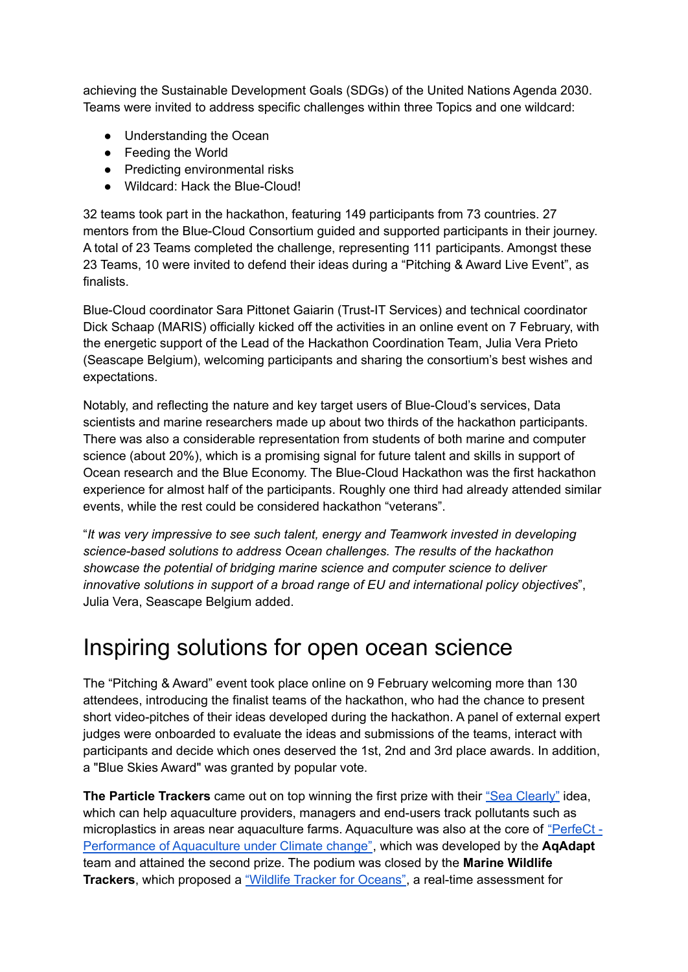achieving the Sustainable Development Goals (SDGs) of the United Nations Agenda 2030. Teams were invited to address specific challenges within three Topics and one wildcard:

- Understanding the Ocean
- Feeding the World
- Predicting environmental risks
- Wildcard: Hack the Blue-Cloud!

32 teams took part in the hackathon, featuring 149 participants from 73 countries. 27 mentors from the Blue-Cloud Consortium guided and supported participants in their journey. A total of 23 Teams completed the challenge, representing 111 participants. Amongst these 23 Teams, 10 were invited to defend their ideas during a "Pitching & Award Live Event", as finalists.

Blue-Cloud coordinator Sara Pittonet Gaiarin (Trust-IT Services) and technical coordinator Dick Schaap (MARIS) officially kicked off the activities in an online event on 7 February, with the energetic support of the Lead of the Hackathon Coordination Team, Julia Vera Prieto (Seascape Belgium), welcoming participants and sharing the consortium's best wishes and expectations.

Notably, and reflecting the nature and key target users of Blue-Cloud's services, Data scientists and marine researchers made up about two thirds of the hackathon participants. There was also a considerable representation from students of both marine and computer science (about 20%), which is a promising signal for future talent and skills in support of Ocean research and the Blue Economy. The Blue-Cloud Hackathon was the first hackathon experience for almost half of the participants. Roughly one third had already attended similar events, while the rest could be considered hackathon "veterans".

"*It was very impressive to see such talent, energy and Teamwork invested in developing science-based solutions to address Ocean challenges. The results of the hackathon showcase the potential of bridging marine science and computer science to deliver innovative solutions in support of a broad range of EU and international policy objectives*", Julia Vera, Seascape Belgium added.

## Inspiring solutions for open ocean science

The "Pitching & Award" event took place online on 9 February welcoming more than 130 attendees, introducing the finalist teams of the hackathon, who had the chance to present short video-pitches of their ideas developed during the hackathon. A panel of external expert judges were onboarded to evaluate the ideas and submissions of the teams, interact with participants and decide which ones deserved the 1st, 2nd and 3rd place awards. In addition, a "Blue Skies Award" was granted by popular vote.

**The Particle Trackers** came out on top winning the first prize with their "Sea [Clearly"](https://youtu.be/qJiSiDFbdhE) idea, which can help aquaculture providers, managers and end-users track pollutants such as microplastics in areas near aquaculture farms. Aquaculture was also at the core of ["PerfeCt](https://youtu.be/Wxcp_1iJSXg) - [Performance](https://youtu.be/Wxcp_1iJSXg) of Aquaculture under Climate change", which was developed by the **AqAdapt** team and attained the second prize. The podium was closed by the **Marine Wildlife Trackers**, which proposed a "Wildlife Tracker for [Oceans"](https://youtu.be/3KAYeFu3svo), a real-time assessment for